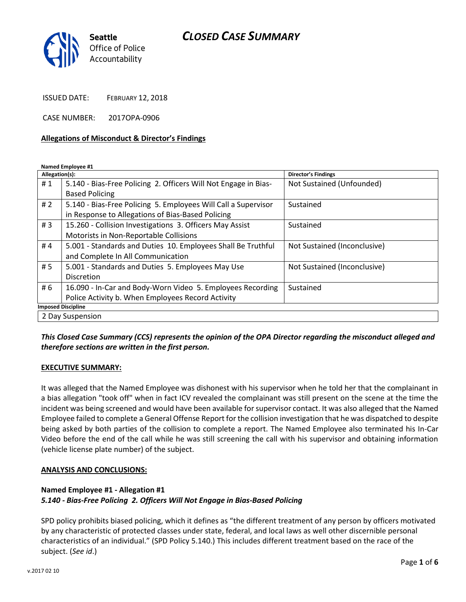# *CLOSED CASE SUMMARY*



ISSUED DATE: FEBRUARY 12, 2018

CASE NUMBER: 2017OPA-0906

#### **Allegations of Misconduct & Director's Findings**

**Named Employee #1**

| Allegation(s):            |                                                                 | Director's Findings          |
|---------------------------|-----------------------------------------------------------------|------------------------------|
| #1                        | 5.140 - Bias-Free Policing 2. Officers Will Not Engage in Bias- | Not Sustained (Unfounded)    |
|                           | <b>Based Policing</b>                                           |                              |
| # $2$                     | 5.140 - Bias-Free Policing 5. Employees Will Call a Supervisor  | Sustained                    |
|                           | in Response to Allegations of Bias-Based Policing               |                              |
| #3                        | 15.260 - Collision Investigations 3. Officers May Assist        | Sustained                    |
|                           | Motorists in Non-Reportable Collisions                          |                              |
| #4                        | 5.001 - Standards and Duties 10. Employees Shall Be Truthful    | Not Sustained (Inconclusive) |
|                           | and Complete In All Communication                               |                              |
| # 5                       | 5.001 - Standards and Duties 5. Employees May Use               | Not Sustained (Inconclusive) |
|                           | Discretion                                                      |                              |
| # 6                       | 16.090 - In-Car and Body-Worn Video 5. Employees Recording      | Sustained                    |
|                           | Police Activity b. When Employees Record Activity               |                              |
| <b>Imposed Discipline</b> |                                                                 |                              |
| 2 Day Suspension          |                                                                 |                              |

*This Closed Case Summary (CCS) represents the opinion of the OPA Director regarding the misconduct alleged and therefore sections are written in the first person.* 

#### **EXECUTIVE SUMMARY:**

It was alleged that the Named Employee was dishonest with his supervisor when he told her that the complainant in a bias allegation "took off" when in fact ICV revealed the complainant was still present on the scene at the time the incident was being screened and would have been available for supervisor contact. It was also alleged that the Named Employee failed to complete a General Offense Report for the collision investigation that he was dispatched to despite being asked by both parties of the collision to complete a report. The Named Employee also terminated his In-Car Video before the end of the call while he was still screening the call with his supervisor and obtaining information (vehicle license plate number) of the subject.

#### **ANALYSIS AND CONCLUSIONS:**

## **Named Employee #1 - Allegation #1** *5.140 - Bias-Free Policing 2. Officers Will Not Engage in Bias-Based Policing*

SPD policy prohibits biased policing, which it defines as "the different treatment of any person by officers motivated by any characteristic of protected classes under state, federal, and local laws as well other discernible personal characteristics of an individual." (SPD Policy 5.140.) This includes different treatment based on the race of the subject. (*See id*.)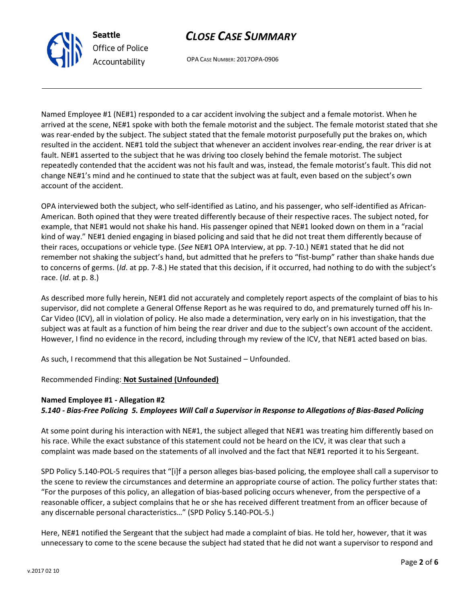# *CLOSE CASE SUMMARY*

OPA CASE NUMBER: 2017OPA-0906

Named Employee #1 (NE#1) responded to a car accident involving the subject and a female motorist. When he arrived at the scene, NE#1 spoke with both the female motorist and the subject. The female motorist stated that she was rear-ended by the subject. The subject stated that the female motorist purposefully put the brakes on, which resulted in the accident. NE#1 told the subject that whenever an accident involves rear-ending, the rear driver is at fault. NE#1 asserted to the subject that he was driving too closely behind the female motorist. The subject repeatedly contended that the accident was not his fault and was, instead, the female motorist's fault. This did not change NE#1's mind and he continued to state that the subject was at fault, even based on the subject's own account of the accident.

OPA interviewed both the subject, who self-identified as Latino, and his passenger, who self-identified as African-American. Both opined that they were treated differently because of their respective races. The subject noted, for example, that NE#1 would not shake his hand. His passenger opined that NE#1 looked down on them in a "racial kind of way." NE#1 denied engaging in biased policing and said that he did not treat them differently because of their races, occupations or vehicle type. (*See* NE#1 OPA Interview, at pp. 7-10.) NE#1 stated that he did not remember not shaking the subject's hand, but admitted that he prefers to "fist-bump" rather than shake hands due to concerns of germs. (*Id*. at pp. 7-8.) He stated that this decision, if it occurred, had nothing to do with the subject's race. (*Id*. at p. 8.)

As described more fully herein, NE#1 did not accurately and completely report aspects of the complaint of bias to his supervisor, did not complete a General Offense Report as he was required to do, and prematurely turned off his In-Car Video (ICV), all in violation of policy. He also made a determination, very early on in his investigation, that the subject was at fault as a function of him being the rear driver and due to the subject's own account of the accident. However, I find no evidence in the record, including through my review of the ICV, that NE#1 acted based on bias.

As such, I recommend that this allegation be Not Sustained – Unfounded.

## Recommended Finding: **Not Sustained (Unfounded)**

## **Named Employee #1 - Allegation #2** *5.140 - Bias-Free Policing 5. Employees Will Call a Supervisor in Response to Allegations of Bias-Based Policing*

At some point during his interaction with NE#1, the subject alleged that NE#1 was treating him differently based on his race. While the exact substance of this statement could not be heard on the ICV, it was clear that such a complaint was made based on the statements of all involved and the fact that NE#1 reported it to his Sergeant.

SPD Policy 5.140-POL-5 requires that "[i]f a person alleges bias-based policing, the employee shall call a supervisor to the scene to review the circumstances and determine an appropriate course of action. The policy further states that: "For the purposes of this policy, an allegation of bias-based policing occurs whenever, from the perspective of a reasonable officer, a subject complains that he or she has received different treatment from an officer because of any discernable personal characteristics…" (SPD Policy 5.140-POL-5.)

Here, NE#1 notified the Sergeant that the subject had made a complaint of bias. He told her, however, that it was unnecessary to come to the scene because the subject had stated that he did not want a supervisor to respond and



**Seattle** *Office of Police Accountability*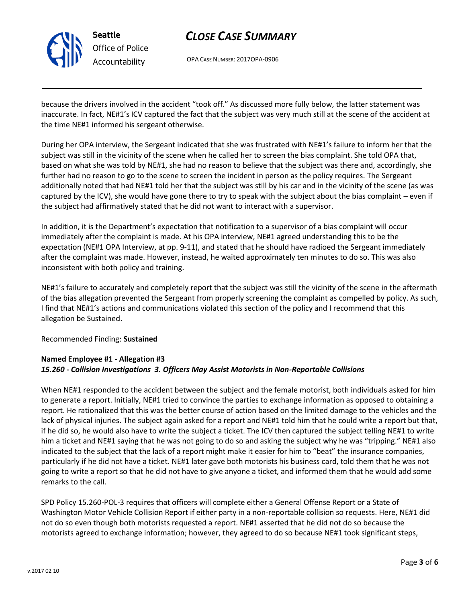

# *CLOSE CASE SUMMARY*

OPA CASE NUMBER: 2017OPA-0906

because the drivers involved in the accident "took off." As discussed more fully below, the latter statement was inaccurate. In fact, NE#1's ICV captured the fact that the subject was very much still at the scene of the accident at the time NE#1 informed his sergeant otherwise.

During her OPA interview, the Sergeant indicated that she was frustrated with NE#1's failure to inform her that the subject was still in the vicinity of the scene when he called her to screen the bias complaint. She told OPA that, based on what she was told by NE#1, she had no reason to believe that the subject was there and, accordingly, she further had no reason to go to the scene to screen the incident in person as the policy requires. The Sergeant additionally noted that had NE#1 told her that the subject was still by his car and in the vicinity of the scene (as was captured by the ICV), she would have gone there to try to speak with the subject about the bias complaint – even if the subject had affirmatively stated that he did not want to interact with a supervisor.

In addition, it is the Department's expectation that notification to a supervisor of a bias complaint will occur immediately after the complaint is made. At his OPA interview, NE#1 agreed understanding this to be the expectation (NE#1 OPA Interview, at pp. 9-11), and stated that he should have radioed the Sergeant immediately after the complaint was made. However, instead, he waited approximately ten minutes to do so. This was also inconsistent with both policy and training.

NE#1's failure to accurately and completely report that the subject was still the vicinity of the scene in the aftermath of the bias allegation prevented the Sergeant from properly screening the complaint as compelled by policy. As such, I find that NE#1's actions and communications violated this section of the policy and I recommend that this allegation be Sustained.

### Recommended Finding: **Sustained**

## **Named Employee #1 - Allegation #3** *15.260 - Collision Investigations 3. Officers May Assist Motorists in Non-Reportable Collisions*

When NE#1 responded to the accident between the subject and the female motorist, both individuals asked for him to generate a report. Initially, NE#1 tried to convince the parties to exchange information as opposed to obtaining a report. He rationalized that this was the better course of action based on the limited damage to the vehicles and the lack of physical injuries. The subject again asked for a report and NE#1 told him that he could write a report but that, if he did so, he would also have to write the subject a ticket. The ICV then captured the subject telling NE#1 to write him a ticket and NE#1 saying that he was not going to do so and asking the subject why he was "tripping." NE#1 also indicated to the subject that the lack of a report might make it easier for him to "beat" the insurance companies, particularly if he did not have a ticket. NE#1 later gave both motorists his business card, told them that he was not going to write a report so that he did not have to give anyone a ticket, and informed them that he would add some remarks to the call.

SPD Policy 15.260-POL-3 requires that officers will complete either a General Offense Report or a State of Washington Motor Vehicle Collision Report if either party in a non-reportable collision so requests. Here, NE#1 did not do so even though both motorists requested a report. NE#1 asserted that he did not do so because the motorists agreed to exchange information; however, they agreed to do so because NE#1 took significant steps,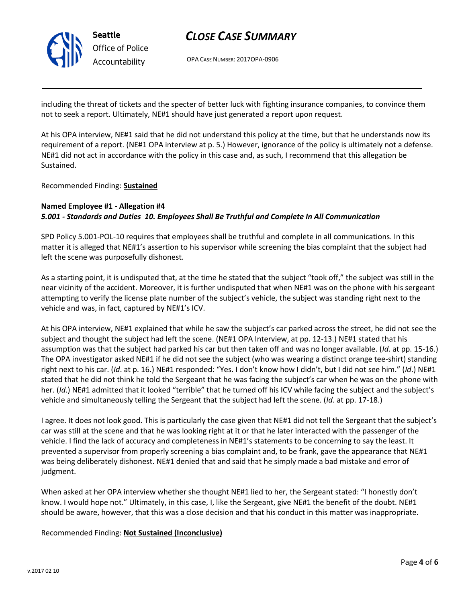

# *CLOSE CASE SUMMARY*

OPA CASE NUMBER: 2017OPA-0906

including the threat of tickets and the specter of better luck with fighting insurance companies, to convince them not to seek a report. Ultimately, NE#1 should have just generated a report upon request.

At his OPA interview, NE#1 said that he did not understand this policy at the time, but that he understands now its requirement of a report. (NE#1 OPA interview at p. 5.) However, ignorance of the policy is ultimately not a defense. NE#1 did not act in accordance with the policy in this case and, as such, I recommend that this allegation be Sustained.

Recommended Finding: **Sustained**

### **Named Employee #1 - Allegation #4** *5.001 - Standards and Duties 10. Employees Shall Be Truthful and Complete In All Communication*

SPD Policy 5.001-POL-10 requires that employees shall be truthful and complete in all communications. In this matter it is alleged that NE#1's assertion to his supervisor while screening the bias complaint that the subject had left the scene was purposefully dishonest.

As a starting point, it is undisputed that, at the time he stated that the subject "took off," the subject was still in the near vicinity of the accident. Moreover, it is further undisputed that when NE#1 was on the phone with his sergeant attempting to verify the license plate number of the subject's vehicle, the subject was standing right next to the vehicle and was, in fact, captured by NE#1's ICV.

At his OPA interview, NE#1 explained that while he saw the subject's car parked across the street, he did not see the subject and thought the subject had left the scene. (NE#1 OPA Interview, at pp. 12-13.) NE#1 stated that his assumption was that the subject had parked his car but then taken off and was no longer available. (*Id*. at pp. 15-16.) The OPA investigator asked NE#1 if he did not see the subject (who was wearing a distinct orange tee-shirt) standing right next to his car. (*Id*. at p. 16.) NE#1 responded: "Yes. I don't know how I didn't, but I did not see him." (*Id*.) NE#1 stated that he did not think he told the Sergeant that he was facing the subject's car when he was on the phone with her. (*Id*.) NE#1 admitted that it looked "terrible" that he turned off his ICV while facing the subject and the subject's vehicle and simultaneously telling the Sergeant that the subject had left the scene. (*Id*. at pp. 17-18.)

I agree. It does not look good. This is particularly the case given that NE#1 did not tell the Sergeant that the subject's car was still at the scene and that he was looking right at it or that he later interacted with the passenger of the vehicle. I find the lack of accuracy and completeness in NE#1's statements to be concerning to say the least. It prevented a supervisor from properly screening a bias complaint and, to be frank, gave the appearance that NE#1 was being deliberately dishonest. NE#1 denied that and said that he simply made a bad mistake and error of judgment.

When asked at her OPA interview whether she thought NE#1 lied to her, the Sergeant stated: "I honestly don't know. I would hope not." Ultimately, in this case, I, like the Sergeant, give NE#1 the benefit of the doubt. NE#1 should be aware, however, that this was a close decision and that his conduct in this matter was inappropriate.

Recommended Finding: **Not Sustained (Inconclusive)**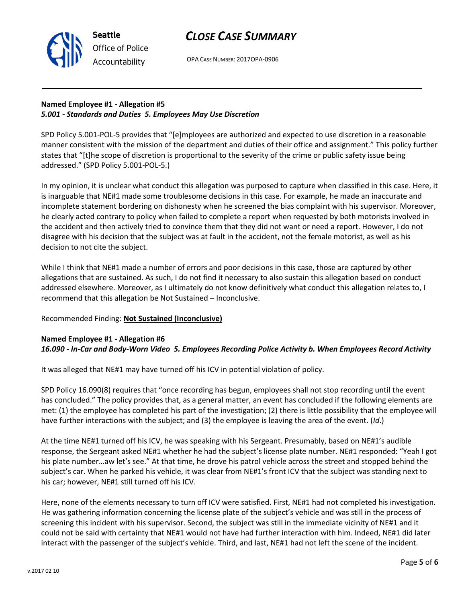

**Seattle** *Office of Police Accountability*

OPA CASE NUMBER: 2017OPA-0906

## **Named Employee #1 - Allegation #5** *5.001 - Standards and Duties 5. Employees May Use Discretion*

SPD Policy 5.001-POL-5 provides that "[e]mployees are authorized and expected to use discretion in a reasonable manner consistent with the mission of the department and duties of their office and assignment." This policy further states that "[t]he scope of discretion is proportional to the severity of the crime or public safety issue being addressed." (SPD Policy 5.001-POL-5.)

In my opinion, it is unclear what conduct this allegation was purposed to capture when classified in this case. Here, it is inarguable that NE#1 made some troublesome decisions in this case. For example, he made an inaccurate and incomplete statement bordering on dishonesty when he screened the bias complaint with his supervisor. Moreover, he clearly acted contrary to policy when failed to complete a report when requested by both motorists involved in the accident and then actively tried to convince them that they did not want or need a report. However, I do not disagree with his decision that the subject was at fault in the accident, not the female motorist, as well as his decision to not cite the subject.

While I think that NE#1 made a number of errors and poor decisions in this case, those are captured by other allegations that are sustained. As such, I do not find it necessary to also sustain this allegation based on conduct addressed elsewhere. Moreover, as I ultimately do not know definitively what conduct this allegation relates to, I recommend that this allegation be Not Sustained – Inconclusive.

### Recommended Finding: **Not Sustained (Inconclusive)**

#### **Named Employee #1 - Allegation #6** *16.090 - In-Car and Body-Worn Video 5. Employees Recording Police Activity b. When Employees Record Activity*

It was alleged that NE#1 may have turned off his ICV in potential violation of policy.

SPD Policy 16.090(8) requires that "once recording has begun, employees shall not stop recording until the event has concluded." The policy provides that, as a general matter, an event has concluded if the following elements are met: (1) the employee has completed his part of the investigation; (2) there is little possibility that the employee will have further interactions with the subject; and (3) the employee is leaving the area of the event. (*Id*.)

At the time NE#1 turned off his ICV, he was speaking with his Sergeant. Presumably, based on NE#1's audible response, the Sergeant asked NE#1 whether he had the subject's license plate number. NE#1 responded: "Yeah I got his plate number…aw let's see." At that time, he drove his patrol vehicle across the street and stopped behind the subject's car. When he parked his vehicle, it was clear from NE#1's front ICV that the subject was standing next to his car; however, NE#1 still turned off his ICV.

Here, none of the elements necessary to turn off ICV were satisfied. First, NE#1 had not completed his investigation. He was gathering information concerning the license plate of the subject's vehicle and was still in the process of screening this incident with his supervisor. Second, the subject was still in the immediate vicinity of NE#1 and it could not be said with certainty that NE#1 would not have had further interaction with him. Indeed, NE#1 did later interact with the passenger of the subject's vehicle. Third, and last, NE#1 had not left the scene of the incident.